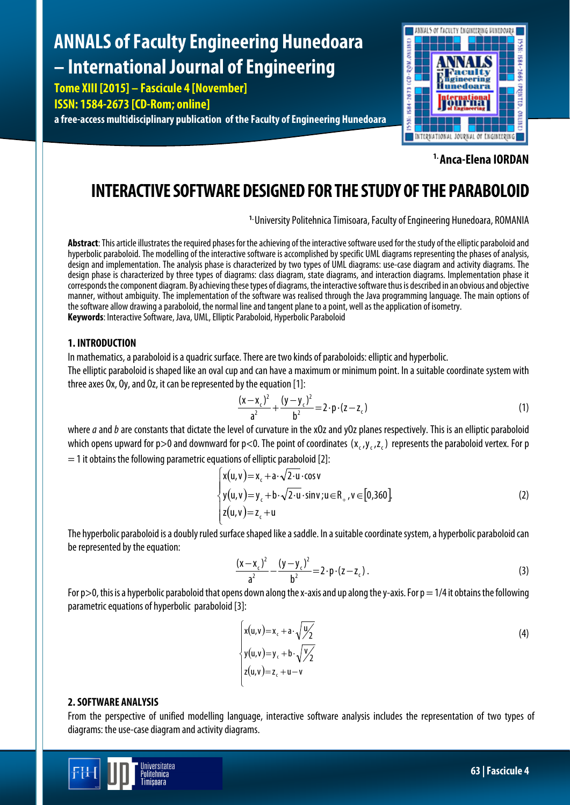# **ANNALS of Faculty Engineering Hunedoara – International Journal of Engineering**

**Tome XIII [2015] – Fascicule 4 [November]**

**ISSN: 1584-2673 [CD-Rom; online]**

**a free-access multidisciplinary publication of the Faculty of Engineering Hunedoara**



**1. Anca-Elena IORDAN**

# **INTERACTIVE SOFTWARE DESIGNED FOR THE STUDY OF THE PARABOLOID**

<sup>1.</sup> University Politehnica Timisoara, Faculty of Engineering Hunedoara, ROMANIA

Abstract: This article illustrates the required phases for the achieving of the interactive software used for the study of the elliptic paraboloid and hyperbolic paraboloid. The modelling of the interactive software is accomplished by specific UML diagrams representing the phases of analysis, design and implementation. The analysis phase is characterized by two types of UML diagrams: use-case diagram and activity diagrams. The design phase is characterized by three types of diagrams: class diagram, state diagrams, and interaction diagrams. Implementation phase it corresponds the component diagram. By achieving these types of diagrams, the interactive software thus is described in an obvious and objective manner, without ambiguity. The implementation of the software was realised through the Java programming language. The main options of the software allow drawing a paraboloid, the normal line and tangent plane to a point, well as the application of isometry. **Keywords**: Interactive Software, Java, UML, Elliptic Paraboloid, Hyperbolic Paraboloid

## **1. INTRODUCTION**

In mathematics, a paraboloidis a quadric surface. There are two kinds of paraboloids: elliptic and hyperbolic.

The elliptic paraboloid is shaped like an oval cup and can have a maximum or minimum point. In a suitable coordinate system with three axes Ox, Oy, and Oz, it can be represented by the equation [1]:

$$
\frac{(x-x_c)^2}{a^2} + \frac{(y-y_c)^2}{b^2} = 2 \cdot p \cdot (z-z_c)
$$
 (1)

where *a* and *b* are constants that dictate the level of curvature in the xOz and yOz planes respectively. This is an elliptic paraboloid which opens upward for p>0 and downward for p<0. The point of coordinates  $(x, y, z)$  represents the paraboloid vertex. For p  $=$  1 it obtains the following parametric equations of elliptic paraboloid [2]:

$$
\begin{cases}\nx(u,v) = x_c + a \cdot \sqrt{2 \cdot u} \cdot \cos v \\
y(u,v) = y_c + b \cdot \sqrt{2 \cdot u} \cdot \sin v; u \in R_+, v \in [0,360]. \\
z(u,v) = z_c + u\n\end{cases}
$$
\n(2)

The hyperbolic paraboloidis a doubly ruled surface shaped like a saddle. In a suitable coordinate system, a hyperbolic paraboloid can be represented by the equation:

$$
\frac{(x-x_c)^2}{a^2} - \frac{(y-y_c)^2}{b^2} = 2 \cdot p \cdot (z-z_c).
$$
 (3)

For  $p>0$ , this is a hyperbolic paraboloid that opens down along the x-axis and up along the y-axis. For  $p = 1/4$  it obtains the following parametric equations of hyperbolic paraboloid [3]:

$$
\begin{cases}\n x(u,v) = x_c + a \cdot \sqrt{\frac{v}{2}} \\
 y(u,v) = y_c + b \cdot \sqrt{\frac{v}{2}} \\
 z(u,v) = z_c + u - v\n\end{cases}
$$
\n(4)

# **2. SOFTWARE ANALYSIS**

From the perspective of unified modelling language, interactive software analysis includes the representation of two types of diagrams: the use-case diagram and activity diagrams.

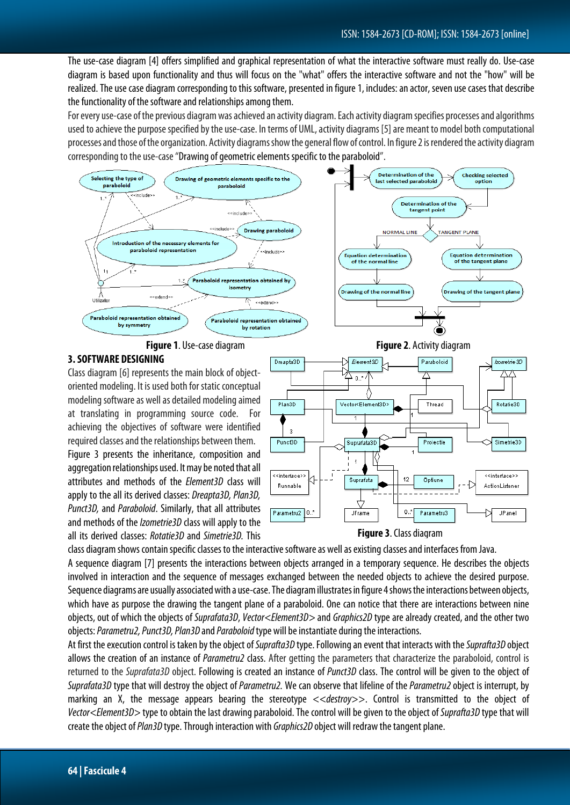The use-case diagram [4] offers simplified and graphical representation of what the interactive software must really do. Use-case diagram is based upon functionality and thus will focus on the "what" offers the interactive software and not the "how" will be realized. The use case diagram corresponding to this software, presented in figure 1, includes: an actor, seven use cases that describe the functionality of the software and relationships among them.

For every use-case of the previous diagram was achieved an activity diagram. Each activity diagram specifies processes and algorithms used to achieve the purpose specified by the use-case. In terms of UML, activity diagrams [5] are meant to model both computational processes and those of the organization. Activity diagramsshow the general flow of control. In figure 2 is rendered the activity diagram corresponding to the use-case "Drawing of geometric elements specific to the paraboloid".





#### **3. SOFTWARE DESIGNING**

Class diagram [6] represents the main block of objectoriented modeling. It is used both for static conceptual modeling software as well as detailed modeling aimed at translating in programming source code. For achieving the objectives of software were identified required classes and the relationships between them.

Figure 3 presents the inheritance, composition and aggregation relationships used. It may be noted that all attributes and methods of the *Element3D* class will apply to the all its derived classes: *Dreapta3D, Plan3D, Punct3D,* and *Paraboloid*. Similarly, that all attributes and methods of the *Izometrie3D* class will apply to the all its derived classes: *Rotatie3D* and *Simetrie3D.* This







class diagram shows contain specific classes to the interactive software as well as existing classes and interfaces from Java.

A sequence diagram [7] presents the interactions between objects arranged in a temporary sequence. He describes the objects involved in interaction and the sequence of messages exchanged between the needed objects to achieve the desired purpose. Sequence diagrams are usually associated with a use-case. The diagram illustrates in figure 4 shows the interactions between objects, which have as purpose the drawing the tangent plane of a paraboloid. One can notice that there are interactions between nine objects, out of which the objects of *Suprafata3D*, *Vector<Element3D>* and *Graphics2D* type are already created, and the other two objects: *Parametru2, Punct3D, Plan3D* and *Paraboloid* type will be instantiate during the interactions.

At first the execution control is taken by the object of *Suprafta3D* type. Following an event that interacts with the *Suprafta3D* object allows the creation of an instance of *Parametru2* class. After getting the parameters that characterize the paraboloid, control is returned to the *Suprafata3D* object. Following is created an instance of *Punct3D* class. The control will be given to the object of *Suprafata3D* type that will destroy the object of *Parametru2.* We can observe that lifeline of the *Parametru2*object is interrupt, by marking an X, the message appears bearing the stereotype <<*destroy*>>. Control is transmitted to the object of *Vector<Element3D>* type to obtain the last drawing paraboloid.The control will be given to the object of *Suprafta3D* type that will create the object of *Plan3D* type. Through interaction with *Graphics2D* object will redraw the tangent plane.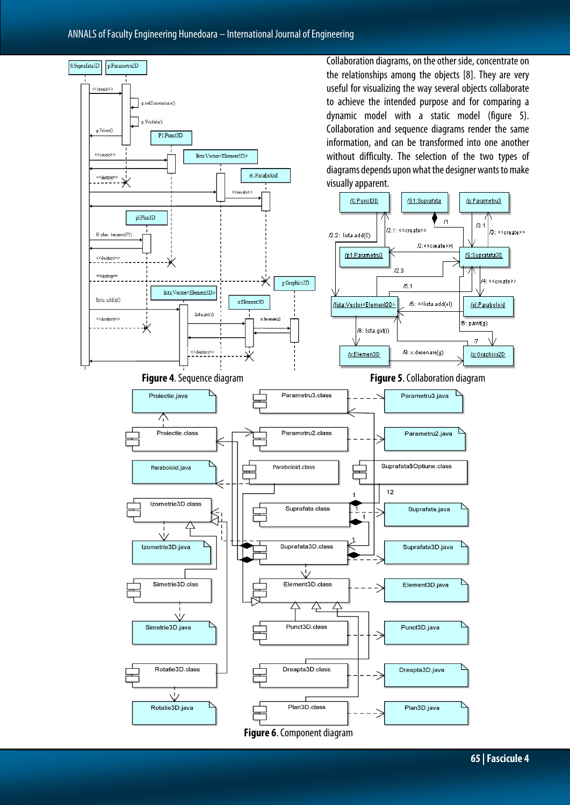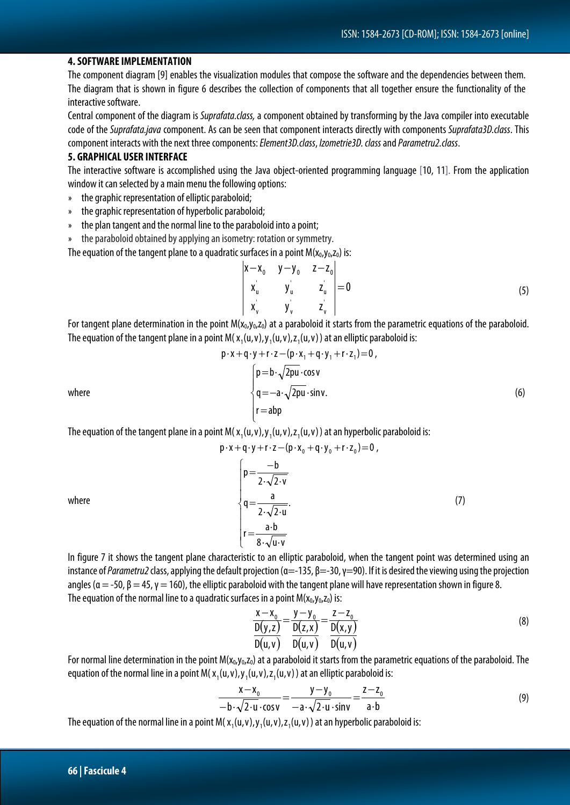#### **4. SOFTWARE IMPLEMENTATION**

The component diagram [9] enables the visualization modules that compose the software andthedependenciesbetween them. The diagram that is shown in figure 6 describes the collection of components that all together ensure the functionality of the interactive software.

Central component of the diagram is *Suprafata.class,* a component obtained by transforming by the Java compiler into executable code of the *Suprafata.java* component. As can be seen that component interacts directly with components *Suprafata3D.class*. This component interacts with the next three components: *Element3D.class*, *Izometrie3D. class*and *Parametru2.class*.

#### **5. GRAPHICAL USER INTERFACE**

The interactive software is accomplished using the Java object-oriented programming language [10, 11]. From the application window it can selected by a main menu the following options:

- » the graphic representation of elliptic paraboloid;
- » the graphic representation of hyperbolic paraboloid;
- » the plan tangent and the normal line to the paraboloid into a point;
- » the paraboloid obtained by applying an isometry: rotation or symmetry.

The equation of the tangent plane to a quadratic surfaces in a point  $M(x_0, y_0, z_0)$  is:

$$
\begin{vmatrix} x - x_0 & y - y_0 & z - z_0 \ x'_u & y'_u & z'_u \ x'_v & y'_v & z'_v \end{vmatrix} = 0
$$
 (5)

For tangent plane determination in the point  $M(x_0,y_0,z_0)$  at a paraboloid it starts from the parametric equations of the paraboloid. The equation of the tangent plane in a point M( $x_1(u,v)$ , $y_1(u,v)$ , $z_1(u,v)$ ) at an elliptic paraboloid is:

$$
p \cdot x + q \cdot y + r \cdot z - (p \cdot x_1 + q \cdot y_1 + r \cdot z_1) = 0,
$$
\nwhere\n
$$
\begin{cases}\n p = b \cdot \sqrt{2pu} \cdot \cos v \\
 q = -a \cdot \sqrt{2pu} \cdot \sin v.\n \end{cases}
$$
\n(6)

The equation of the tangent plane in a point M( $x_1(u,v)$ , $y_1(u,v)$ , $z_1(u,v)$ ) at an hyperbolic paraboloid is:

$$
p \cdot x + q \cdot y + r \cdot z - (p \cdot x_0 + q \cdot y_0 + r \cdot z_0) = 0,
$$
\nwhere\n
$$
\begin{cases}\n p = \frac{-b}{2 \cdot \sqrt{2 \cdot v}} \\
 q = \frac{a}{2 \cdot \sqrt{2 \cdot u}}.\n \end{cases}
$$
\n
$$
r = \frac{a \cdot b}{8 \cdot \sqrt{u \cdot v}}
$$
\n(7)

In figure 7 it shows the tangent plane characteristic to an elliptic paraboloid, when the tangent point was determined using an instance of *Parametru2* class, applying the default projection  $(α=-135, β=-30, γ=90)$ . If it is desired the viewing using the projection angles ( $\alpha = -50$ ,  $\beta = 45$ ,  $\gamma = 160$ ), the elliptic paraboloid with the tangent plane will have representation shown in figure 8. The equation of the normal line to a quadratic surfaces in a point  $M(x_0, y_0, z_0)$  is:

$$
\frac{x - x_0}{D(y, z)} = \frac{y - y_0}{D(z, x)} = \frac{z - z_0}{D(x, y)} = \frac{D(x, y)}{D(u, v)}
$$
(8)

For normal line determination in the point  $M(x_0, y_0, z_0)$  at a paraboloid it starts from the parametric equations of the paraboloid. The equation of the normal line in a point M( $x_1(u,v),y_1(u,v),z_1(u,v)$ ) at an elliptic paraboloid is:

$$
\frac{x-x_0}{-b\cdot\sqrt{2\cdot u}\cdot\cos v} = \frac{y-y_0}{-a\cdot\sqrt{2\cdot u}\cdot\sin v} = \frac{z-z_0}{a\cdot b}
$$
(9)

The equation of the normal line in a point M( $x_1(u,v)$ , $y_1(u,v)$ , $z_1(u,v)$ ) at an hyperbolic paraboloid is: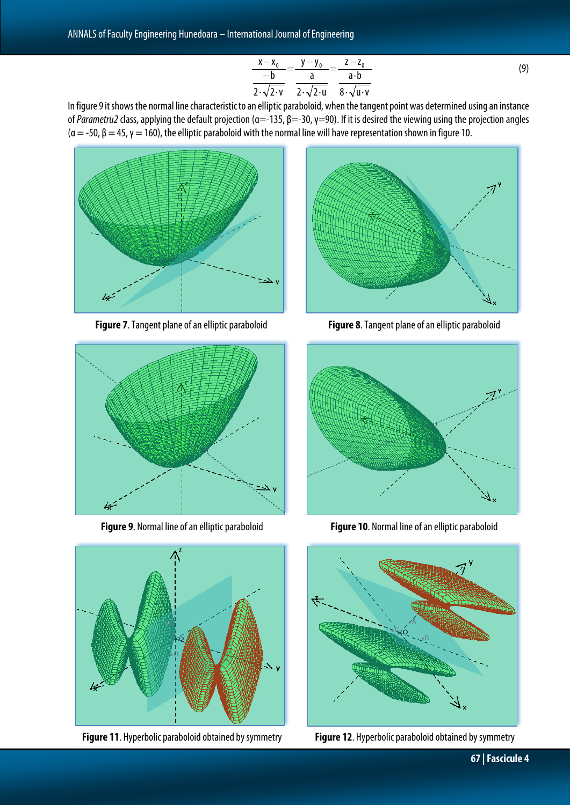$$
\frac{x-x_0}{-b} = \frac{y-y_0}{a} = \frac{z-z_0}{a \cdot b}
$$
  
2.  $\sqrt{2 \cdot v}$  2.  $\sqrt{2 \cdot u}$  8.  $\sqrt{u \cdot v}$  (9)

In figure 9 it shows the normal line characteristic to an elliptic paraboloid, when the tangent point was determined using an instance of *Parametru2* class, applying the default projection (α=-135, β=-30, γ=90). If it is desired the viewing using the projection angles ( $\alpha$  = -50,  $\beta$  = 45,  $\gamma$  = 160), the elliptic paraboloid with the normal line will have representation shown in figure 10.







**Figure 11**. Hyperbolic paraboloid obtained by symmetry **Figure 12**. Hyperbolic paraboloid obtained by symmetry



**Figure 7**.Tangent plane of an elliptic paraboloid **Figure 8**.Tangent plane of an elliptic paraboloid



**Figure 9**. Normal line of an elliptic paraboloid **Figure 10**. Normal line of an elliptic paraboloid